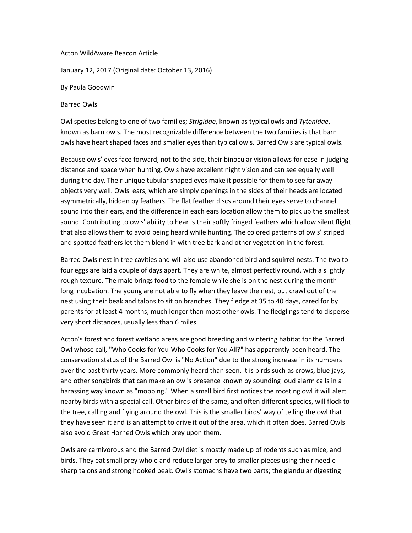## Acton WildAware Beacon Article

January 12, 2017 (Original date: October 13, 2016)

## By Paula Goodwin

## Barred Owls

Owl species belong to one of two families; *Strigidae*, known as typical owls and *Tytonidae*, known as barn owls. The most recognizable difference between the two families is that barn owls have heart shaped faces and smaller eyes than typical owls.Barred Owls are typical owls.

Because owls' eyes face forward, not to the side, their binocular vision allows for ease in judging distance and space when hunting. Owls have excellent night vision and can see equally well during the day. Their unique tubular shaped eyes make it possible for them to see far away objects very well. Owls' ears, which are simply openings in the sides of their heads are located asymmetrically, hidden by feathers. The flat feather discs around their eyes serve to channel sound into their ears, and the difference in each ears location allow them to pick up the smallest sound. Contributing to owls' ability to hear is their softly fringed feathers which allow silent flight that also allows them to avoid being heard while hunting. The colored patterns of owls' striped and spotted feathers let them blend in with tree bark and other vegetation in the forest.

Barred Owls nest in tree cavities and will also use abandoned bird and squirrel nests. The two to four eggs are laid a couple of days apart. They are white, almost perfectly round, with a slightly rough texture. The male brings food to the female while she is on the nest during the month long incubation. The young are not able to fly when they leave the nest, but crawl out of the nest using their beak and talons to sit on branches. They fledge at 35 to 40 days, cared for by parents for at least 4 months, much longer than most other owls. The fledglings tend to disperse very short distances, usually less than 6 miles.

Acton's forest and forest wetland areas are good breeding and wintering habitat for the Barred Owl whose call, "Who Cooks for You-Who Cooks for You All?" has apparently been heard. The conservation status of the Barred Owl is "No Action" due to the strong increase in its numbers over the past thirty years. More commonly heard than seen, it is birds such as crows, blue jays, and other songbirds that can make an owl's presence known by sounding loud alarm calls in a harassing way known as "mobbing." When a small bird first notices the roosting owl it will alert nearby birds with a special call. Other birds of the same, and often different species, will flock to the tree, calling and flying around the owl. This is the smaller birds'way of telling the owl that they have seen it and is an attempt to drive it out of the area, which it often does. Barred Owls also avoid Great Horned Owls which prey upon them.

Owls are carnivorous and the Barred Owl diet is mostly made up of rodents such as mice, and birds. They eat small prey whole and reduce larger prey to smaller pieces using their needle sharp talons and strong hooked beak. Owl's stomachs have two parts; the glandular digesting